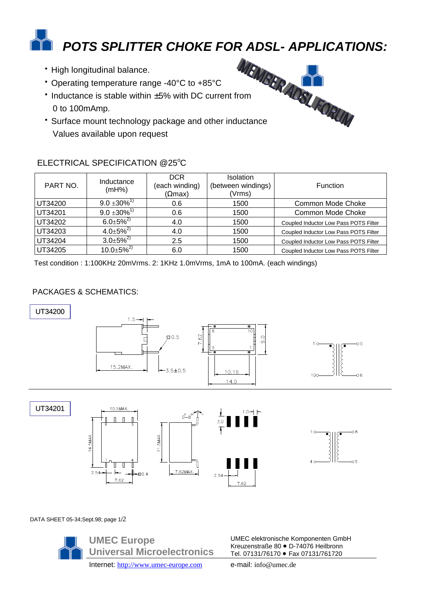# *POTS SPLITTER CHOKE FOR ADSL- APPLICATIONS:*

- High longitudinal balance.
- Operating temperature range -40°C to +85°C
- Inductance is stable within ±5% with DC current from 0 to 100mAmp.
- Surface mount technology package and other inductance Values available upon request



## ELECTRICAL SPECIFICATION @25°C

| PART NO. | Inductance<br>(mH%)          | <b>DCR</b><br>(each winding)<br>$( \Omega$ max) | <b>Isolation</b><br>(between windings)<br>(Vrms) | <b>Function</b>                       |
|----------|------------------------------|-------------------------------------------------|--------------------------------------------------|---------------------------------------|
| UT34200  | $9.0 \pm 30\%$ <sup>1)</sup> | 0.6                                             | 1500                                             | Common Mode Choke                     |
| UT34201  | $9.0 \pm 30\%$ <sup>1)</sup> | 0.6                                             | 1500                                             | <b>Common Mode Choke</b>              |
| UT34202  | $6.0 \pm 5\%^{2}$            | 4.0                                             | 1500                                             | Coupled Inductor Low Pass POTS Filter |
| UT34203  | $4.0 \pm 5\%^{2}$            | 4.0                                             | 1500                                             | Coupled Inductor Low Pass POTS Filter |
| UT34204  | $3.0 \pm 5\%^{2}$            | 2.5                                             | 1500                                             | Coupled Inductor Low Pass POTS Filter |
| UT34205  | $10.0 \pm 5\%^{2}$           | 6.0                                             | 1500                                             | Coupled Inductor Low Pass POTS Filter |

Test condition : 1:100KHz 20mVrms. 2: 1KHz 1.0mVrms, 1mA to 100mA. (each windings)

## PACKAGES & SCHEMATICS:





 $1 \Omega$ 

UT34201







DATA SHEET 05-34;Sept.98; page 1/2



UMEC elektronische Komponenten GmbH Kreuzenstraße 80 · D-74076 Heilbronn Tel. 07131/76170 · Fax 07131/761720